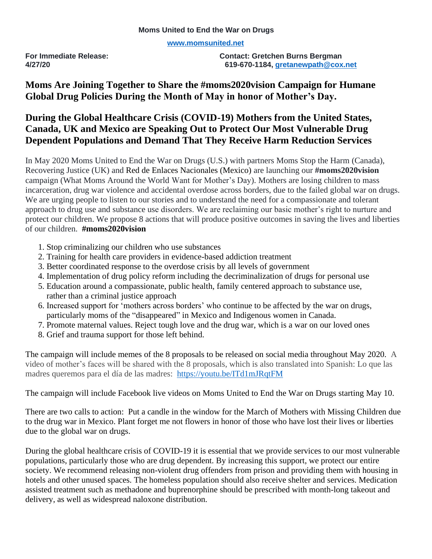**[www.momsunited.net](http://www.momsunited.net/)**

**For Immediate Release: Contact: Gretchen Burns Bergman 4/27/20 619-670-1184, [gretanewpath@cox.net](mailto:gretanewpath@cox.net)**

## **Moms Are Joining Together to Share the #moms2020vision Campaign for Humane Global Drug Policies During the Month of May in honor of Mother's Day.**

## **During the Global Healthcare Crisis (COVID-19) Mothers from the United States, Canada, UK and Mexico are Speaking Out to Protect Our Most Vulnerable Drug Dependent Populations and Demand That They Receive Harm Reduction Services**

In May 2020 Moms United to End the War on Drugs (U.S.) with partners Moms Stop the Harm (Canada), Recovering Justice (UK) and Red de Enlaces Nacionales (Mexico) are launching our **#moms2020vision** campaign (What Moms Around the World Want for Mother's Day). Mothers are losing children to mass incarceration, drug war violence and accidental overdose across borders, due to the failed global war on drugs. We are urging people to listen to our stories and to understand the need for a compassionate and tolerant approach to drug use and substance use disorders. We are reclaiming our basic mother's right to nurture and protect our children. We propose 8 actions that will produce positive outcomes in saving the lives and liberties of our children. **#moms2020vision** 

- 1. Stop criminalizing our children who use substances
- 2. Training for health care providers in evidence-based addiction treatment
- 3. Better coordinated response to the overdose crisis by all levels of government
- 4. Implementation of drug policy reform including the decriminalization of drugs for personal use
- 5. Education around a compassionate, public health, family centered approach to substance use, rather than a criminal justice approach
- 6. Increased support for 'mothers across borders' who continue to be affected by the war on drugs, particularly moms of the "disappeared" in Mexico and Indigenous women in Canada.
- 7. Promote maternal values. Reject tough love and the drug war, which is a war on our loved ones
- 8. Grief and trauma support for those left behind.

The campaign will include memes of the 8 proposals to be released on social media throughout May 2020. A video of mother's faces will be shared with the 8 proposals, which is also translated into Spanish: Lo que las madres queremos para el día de las madres: <https://youtu.be/ITd1mJRqtFM>

The campaign will include Facebook live videos on Moms United to End the War on Drugs starting May 10.

There are two calls to action: Put a candle in the window for the March of Mothers with Missing Children due to the drug war in Mexico. Plant forget me not flowers in honor of those who have lost their lives or liberties due to the global war on drugs.

During the global healthcare crisis of COVID-19 it is essential that we provide services to our most vulnerable populations, particularly those who are drug dependent. By increasing this support, we protect our entire society. We recommend releasing non-violent drug offenders from prison and providing them with housing in hotels and other unused spaces. The homeless population should also receive shelter and services. Medication assisted treatment such as methadone and buprenorphine should be prescribed with month-long takeout and delivery, as well as widespread naloxone distribution.